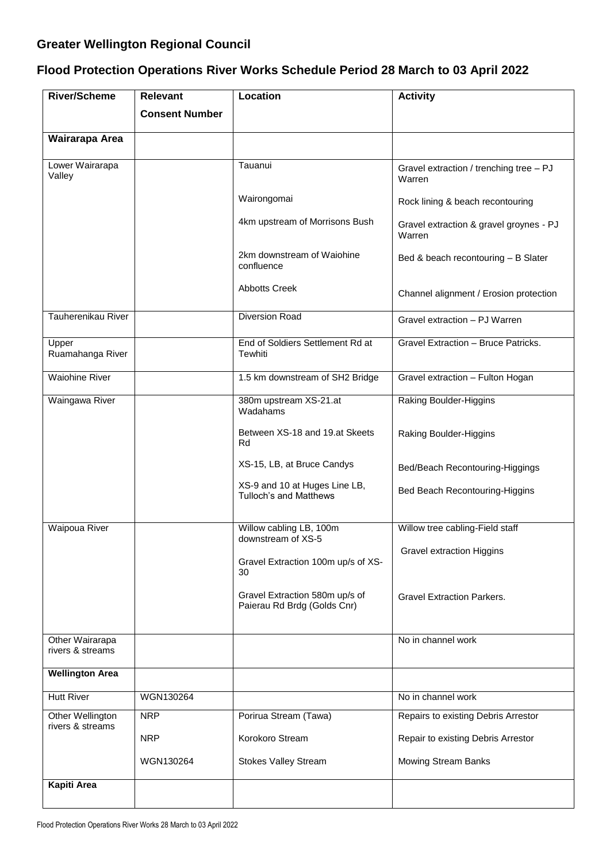## **Greater Wellington Regional Council**

## **Flood Protection Operations River Works Schedule Period 28 March to 03 April 2022**

| <b>River/Scheme</b>                  | <b>Relevant</b>       | Location                                                       | <b>Activity</b>                                   |
|--------------------------------------|-----------------------|----------------------------------------------------------------|---------------------------------------------------|
|                                      | <b>Consent Number</b> |                                                                |                                                   |
| Wairarapa Area                       |                       |                                                                |                                                   |
| Lower Wairarapa<br>Valley            |                       | Tauanui                                                        | Gravel extraction / trenching tree - PJ<br>Warren |
|                                      |                       | Wairongomai                                                    | Rock lining & beach recontouring                  |
|                                      |                       | 4km upstream of Morrisons Bush                                 | Gravel extraction & gravel groynes - PJ<br>Warren |
|                                      |                       | 2km downstream of Waiohine<br>confluence                       | Bed & beach recontouring - B Slater               |
|                                      |                       | <b>Abbotts Creek</b>                                           | Channel alignment / Erosion protection            |
| Tauherenikau River                   |                       | <b>Diversion Road</b>                                          | Gravel extraction - PJ Warren                     |
| Upper<br>Ruamahanga River            |                       | End of Soldiers Settlement Rd at<br>Tewhiti                    | Gravel Extraction - Bruce Patricks.               |
| <b>Waiohine River</b>                |                       | 1.5 km downstream of SH2 Bridge                                | Gravel extraction - Fulton Hogan                  |
| Waingawa River                       |                       | 380m upstream XS-21.at<br>Wadahams                             | Raking Boulder-Higgins                            |
|                                      |                       | Between XS-18 and 19.at Skeets<br>Rd                           | Raking Boulder-Higgins                            |
|                                      |                       | XS-15, LB, at Bruce Candys                                     | Bed/Beach Recontouring-Higgings                   |
|                                      |                       | XS-9 and 10 at Huges Line LB,<br><b>Tulloch's and Matthews</b> | Bed Beach Recontouring-Higgins                    |
| <b>Waipoua River</b>                 |                       | Willow cabling LB, 100m                                        | Willow tree cabling-Field staff                   |
|                                      |                       | downstream of XS-5                                             | <b>Gravel extraction Higgins</b>                  |
|                                      |                       | Gravel Extraction 100m up/s of XS-<br>30                       |                                                   |
|                                      |                       | Gravel Extraction 580m up/s of<br>Paierau Rd Brdg (Golds Cnr)  | <b>Gravel Extraction Parkers.</b>                 |
| Other Wairarapa<br>rivers & streams  |                       |                                                                | No in channel work                                |
| <b>Wellington Area</b>               |                       |                                                                |                                                   |
| <b>Hutt River</b>                    | WGN130264             |                                                                | No in channel work                                |
| Other Wellington<br>rivers & streams | <b>NRP</b>            | Porirua Stream (Tawa)                                          | Repairs to existing Debris Arrestor               |
|                                      | <b>NRP</b>            | Korokoro Stream                                                | Repair to existing Debris Arrestor                |
|                                      | WGN130264             | <b>Stokes Valley Stream</b>                                    | Mowing Stream Banks                               |
| <b>Kapiti Area</b>                   |                       |                                                                |                                                   |